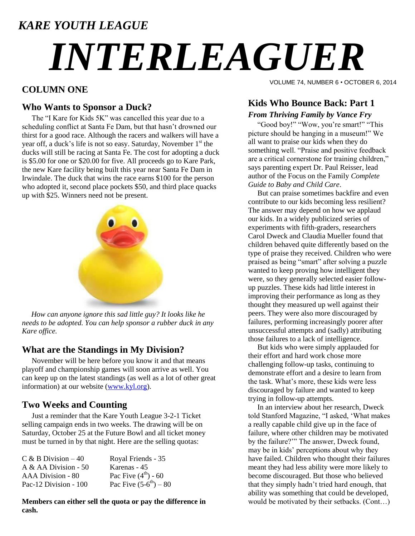### *KARE YOUTH LEAGUE*

# *INTERLEAGUER*

#### **COLUMN ONE**

#### **Who Wants to Sponsor a Duck?**

The "I Kare for Kids 5K" was cancelled this year due to a scheduling conflict at Santa Fe Dam, but that hasn"t drowned our thirst for a good race. Although the racers and walkers will have a year off, a duck's life is not so easy. Saturday, November  $1<sup>st</sup>$  the ducks will still be racing at Santa Fe. The cost for adopting a duck is \$5.00 for one or \$20.00 for five. All proceeds go to Kare Park, the new Kare facility being built this year near Santa Fe Dam in Irwindale. The duck that wins the race earns \$100 for the person who adopted it, second place pockets \$50, and third place quacks up with \$25. Winners need not be present.



 *How can anyone ignore this sad little guy? It looks like he needs to be adopted. You can help sponsor a rubber duck in any Kare office.*

#### **What are the Standings in My Division?**

November will be here before you know it and that means playoff and championship games will soon arrive as well. You can keep up on the latest standings (as well as a lot of other great information) at our website [\(www.kyl.org\)](http://www.kyl.org/).

#### **Two Weeks and Counting**

Just a reminder that the Kare Youth League 3-2-1 Ticket selling campaign ends in two weeks. The drawing will be on Saturday, October 25 at the Future Bowl and all ticket money must be turned in by that night. Here are the selling quotas:

| $C & B$ Division $-40$ | Royal Friends - 35         |
|------------------------|----------------------------|
| A & AA Division - 50   | Karenas - 45               |
| AAA Division - 80      | Pac Five $(4^{th}) - 60$   |
| Pac-12 Division - 100  | Pac Five $(5-6^{th}) - 80$ |

**Members can either sell the quota or pay the difference in cash.**

VOLUME 74, NUMBER 6 • OCTOBER 6, 2014

#### **Kids Who Bounce Back: Part 1** *From Thriving Family by Vance Fry*

 "Good boy!" "Wow, you"re smart!" "This picture should be hanging in a museum!" We all want to praise our kids when they do something well. "Praise and positive feedback are a critical cornerstone for training children," says parenting expert Dr. Paul Reisser, lead author of the Focus on the Family *Complete Guide to Baby and Child Care*.

 But can praise sometimes backfire and even contribute to our kids becoming less resilient? The answer may depend on how we applaud our kids. In a widely publicized series of experiments with fifth-graders, researchers Carol Dweck and Claudia Mueller found that children behaved quite differently based on the type of praise they received. Children who were praised as being "smart" after solving a puzzle wanted to keep proving how intelligent they were, so they generally selected easier followup puzzles. These kids had little interest in improving their performance as long as they thought they measured up well against their peers. They were also more discouraged by failures, performing increasingly poorer after unsuccessful attempts and (sadly) attributing those failures to a lack of intelligence.

 But kids who were simply applauded for their effort and hard work chose more challenging follow-up tasks, continuing to demonstrate effort and a desire to learn from the task. What"s more, these kids were less discouraged by failure and wanted to keep trying in follow-up attempts.

 In an interview about her research, Dweck told Stanford Magazine, "I asked, "What makes a really capable child give up in the face of failure, where other children may be motivated by the failure?"" The answer, Dweck found, may be in kids" perceptions about why they have failed. Children who thought their failures meant they had less ability were more likely to become discouraged. But those who believed that they simply hadn"t tried hard enough, that ability was something that could be developed, would be motivated by their setbacks. (Cont…)